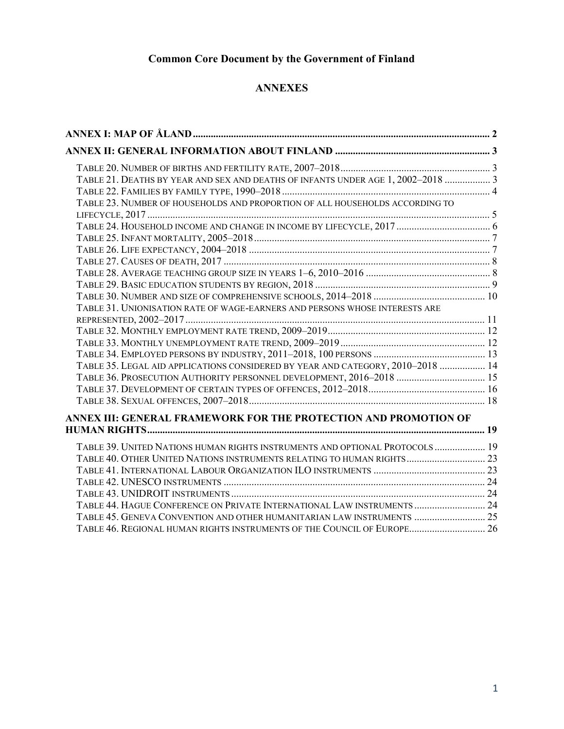# Common Core Document by the Government of Finland

### ANNEXES

| TABLE 21. DEATHS BY YEAR AND SEX AND DEATHS OF INFANTS UNDER AGE 1, 2002-2018  3 |  |
|----------------------------------------------------------------------------------|--|
|                                                                                  |  |
| TABLE 23. NUMBER OF HOUSEHOLDS AND PROPORTION OF ALL HOUSEHOLDS ACCORDING TO     |  |
|                                                                                  |  |
|                                                                                  |  |
|                                                                                  |  |
|                                                                                  |  |
|                                                                                  |  |
|                                                                                  |  |
|                                                                                  |  |
|                                                                                  |  |
| TABLE 31. UNIONISATION RATE OF WAGE-EARNERS AND PERSONS WHOSE INTERESTS ARE      |  |
|                                                                                  |  |
|                                                                                  |  |
|                                                                                  |  |
|                                                                                  |  |
| TABLE 35. LEGAL AID APPLICATIONS CONSIDERED BY YEAR AND CATEGORY, 2010-2018  14  |  |
| TABLE 36. PROSECUTION AUTHORITY PERSONNEL DEVELOPMENT, 2016-2018  15             |  |
|                                                                                  |  |
|                                                                                  |  |
| ANNEX III: GENERAL FRAMEWORK FOR THE PROTECTION AND PROMOTION OF                 |  |
|                                                                                  |  |
| TABLE 39. UNITED NATIONS HUMAN RIGHTS INSTRUMENTS AND OPTIONAL PROTOCOLS  19     |  |
| TABLE 40. OTHER UNITED NATIONS INSTRUMENTS RELATING TO HUMAN RIGHTS 23           |  |
|                                                                                  |  |
|                                                                                  |  |
|                                                                                  |  |
| TABLE 44. HAGUE CONFERENCE ON PRIVATE INTERNATIONAL LAW INSTRUMENTS  24          |  |
| TABLE 45. GENEVA CONVENTION AND OTHER HUMANITARIAN LAW INSTRUMENTS  25           |  |
| TABLE 46. REGIONAL HUMAN RIGHTS INSTRUMENTS OF THE COUNCIL OF EUROPE 26          |  |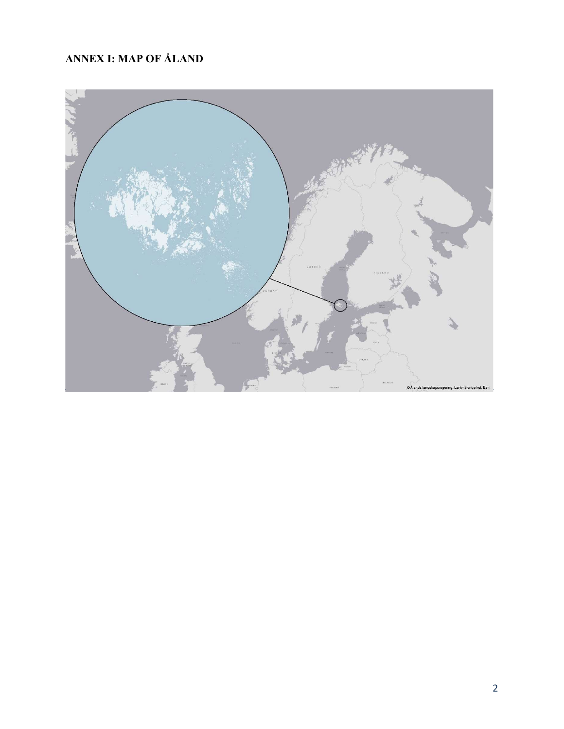# ANNEX I: MAP OF ÅLAND

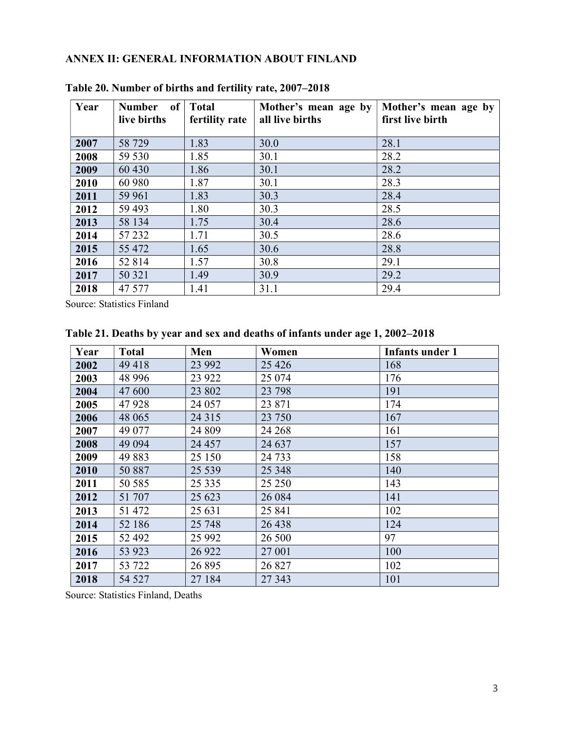## ANNEX II: GENERAL INFORMATION ABOUT FINLAND

| Year | of<br><b>Number</b><br>live births | <b>Total</b><br>fertility rate | Mother's mean age by<br>all live births | Mother's mean age by<br>first live birth |
|------|------------------------------------|--------------------------------|-----------------------------------------|------------------------------------------|
| 2007 | 58 729                             | 1.83                           | 30.0                                    | 28.1                                     |
| 2008 | 59 530                             | 1.85                           | 30.1                                    | 28.2                                     |
| 2009 | 60 430                             | 1.86                           | 30.1                                    | 28.2                                     |
| 2010 | 60 980                             | 1.87                           | 30.1                                    | 28.3                                     |
| 2011 | 59 961                             | 1.83                           | 30.3                                    | 28.4                                     |
| 2012 | 59 493                             | 1.80                           | 30.3                                    | 28.5                                     |
| 2013 | 58 134                             | 1.75                           | 30.4                                    | 28.6                                     |
| 2014 | 57 232                             | 1.71                           | 30.5                                    | 28.6                                     |
| 2015 | 55 472                             | 1.65                           | 30.6                                    | 28.8                                     |
| 2016 | 52 814                             | 1.57                           | 30.8                                    | 29.1                                     |
| 2017 | 50 321                             | 1.49                           | 30.9                                    | 29.2                                     |
| 2018 | 47 577                             | 1.41                           | 31.1                                    | 29.4                                     |

Table 20. Number of births and fertility rate, 2007–2018

Source: Statistics Finland

| Year | <b>Total</b> | Men     | Women   | <b>Infants under 1</b> |
|------|--------------|---------|---------|------------------------|
| 2002 | 49 418       | 23 992  | 25 4 26 | 168                    |
| 2003 | 48 996       | 23 9 22 | 25 074  | 176                    |
| 2004 | 47 600       | 23 802  | 23 798  | 191                    |
| 2005 | 47928        | 24 057  | 23 871  | 174                    |
| 2006 | 48 065       | 24 3 15 | 23 750  | 167                    |
| 2007 | 49 077       | 24 809  | 24 268  | 161                    |
| 2008 | 49 0 94      | 24 457  | 24 637  | 157                    |
| 2009 | 49883        | 25 150  | 24 7 33 | 158                    |
| 2010 | 50 887       | 25 5 39 | 25 3 48 | 140                    |
| 2011 | 50 585       | 25 3 35 | 25 250  | 143                    |
| 2012 | 51 707       | 25 623  | 26 084  | 141                    |
| 2013 | 51 472       | 25 631  | 25 841  | 102                    |
| 2014 | 52 186       | 25 748  | 26 438  | 124                    |
| 2015 | 52 492       | 25 9 92 | 26 500  | 97                     |
| 2016 | 53 923       | 26 9 22 | 27 001  | 100                    |
| 2017 | 53 722       | 26 895  | 26 827  | 102                    |
| 2018 | 54 527       | 27 184  | 27 343  | 101                    |

Table 21. Deaths by year and sex and deaths of infants under age 1, 2002–2018

Source: Statistics Finland, Deaths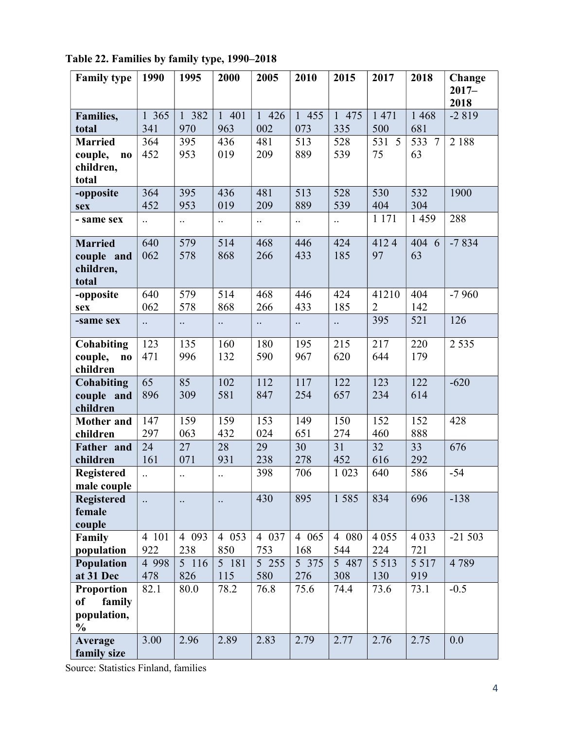| <b>Family type</b>                | 1990                 | 1995                 | 2000                 | 2005                 | 2010      | 2015                 | 2017           | 2018          | Change   |
|-----------------------------------|----------------------|----------------------|----------------------|----------------------|-----------|----------------------|----------------|---------------|----------|
|                                   |                      |                      |                      |                      |           |                      |                |               | $2017 -$ |
|                                   |                      |                      |                      |                      |           |                      |                |               | 2018     |
| Families,                         | 1 365                | 1 382                | 1 401                | 1 426                | 1 455     | 1 475                | 1 471          | 1 4 6 8       | $-2819$  |
| total                             | 341                  | 970                  | 963                  | 002                  | 073       | 335                  | 500            | 681           |          |
| <b>Married</b>                    | 364                  | 395                  | 436                  | 481                  | 513       | 528                  | 531<br>5       | 533<br>$\tau$ | 2 1 8 8  |
| couple,<br>$\mathbf{n}\mathbf{o}$ | 452                  | 953                  | 019                  | 209                  | 889       | 539                  | 75             | 63            |          |
| children,                         |                      |                      |                      |                      |           |                      |                |               |          |
| total                             |                      |                      |                      |                      |           |                      |                |               |          |
| -opposite                         | 364                  | 395                  | 436                  | 481                  | 513       | 528                  | 530            | 532           | 1900     |
| sex                               | 452                  | 953                  | 019                  | 209                  | 889       | 539                  | 404            | 304           |          |
| - same sex                        | $\ddotsc$            | $\ddotsc$            | $\ddotsc$            | $\ddot{\phantom{a}}$ | $\ddotsc$ | $\ddotsc$            | 1 1 7 1        | 1 4 5 9       | 288      |
| <b>Married</b>                    | 640                  | 579                  | 514                  | 468                  | 446       | 424                  | 4124           | 404 6         | $-7834$  |
| couple and                        | 062                  | 578                  | 868                  | 266                  | 433       | 185                  | 97             | 63            |          |
| children,                         |                      |                      |                      |                      |           |                      |                |               |          |
| total                             |                      |                      |                      |                      |           |                      |                |               |          |
| -opposite                         | 640                  | 579                  | 514                  | 468                  | 446       | 424                  | 41210          | 404           | $-7960$  |
| sex                               | 062                  | 578                  | 868                  | 266                  | 433       | 185                  | $\overline{2}$ | 142           |          |
| -same sex                         | $\ddotsc$            | $\ddot{\phantom{a}}$ | $\ddot{\phantom{a}}$ | $\ddotsc$            | $\ddotsc$ | $\ddot{\phantom{a}}$ | 395            | 521           | 126      |
| Cohabiting                        | 123                  | 135                  | 160                  | 180                  | 195       | 215                  | 217            | 220           | 2 5 3 5  |
| couple,<br>$\bf{no}$              | 471                  | 996                  | 132                  | 590                  | 967       | 620                  | 644            | 179           |          |
| children                          |                      |                      |                      |                      |           |                      |                |               |          |
| Cohabiting                        | 65                   | 85                   | 102                  | 112                  | 117       | 122                  | 123            | 122           | $-620$   |
| couple and                        | 896                  | 309                  | 581                  | 847                  | 254       | 657                  | 234            | 614           |          |
| children                          |                      |                      |                      |                      |           |                      |                |               |          |
| <b>Mother</b> and                 | 147                  | 159                  | 159                  | 153                  | 149       | 150                  | 152            | 152           | 428      |
| children                          | 297                  | 063                  | 432                  | 024                  | 651       | 274                  | 460            | 888           |          |
| Father and                        | 24                   | 27                   | 28                   | 29                   | 30        | 31                   | 32             | 33            | 676      |
| children                          | 161                  | 071                  | 931                  | 238                  | 278       | 452                  | 616            | 292           |          |
| <b>Registered</b>                 | $\ddot{\phantom{a}}$ | $\ddotsc$            | $\ddotsc$            | 398                  | 706       | 1 0 23               | 640            | 586           | $-54$    |
| male couple                       |                      |                      |                      |                      |           |                      |                |               |          |
| <b>Registered</b>                 | $\ddotsc$            | $\ddotsc$            | $\ddotsc$            | 430                  | 895       | 1585                 | 834            | 696           | $-138$   |
| female                            |                      |                      |                      |                      |           |                      |                |               |          |
| couple                            |                      |                      |                      |                      |           |                      |                |               |          |
| Family                            | 4 101                | 4 0 9 3              | 4 0 5 3              | 4 0 3 7              | 4 0 6 5   | 4 080                | 4 0 5 5        | 4 0 3 3       | $-21503$ |
| population                        | 922                  | 238                  | 850                  | 753                  | 168       | 544                  | 224            | 721           |          |
| Population                        | 4 9 9 8              | 5 116                | 5 181                | 5 255                | 5 375     | 5 487                | 5 5 1 3        | 5 5 1 7       | 4789     |
| at 31 Dec                         | 478                  | 826                  | 115                  | 580                  | 276       | 308                  | 130            | 919           |          |
| <b>Proportion</b>                 | 82.1                 | 80.0                 | 78.2                 | 76.8                 | 75.6      | 74.4                 | 73.6           | 73.1          | $-0.5$   |
| of<br>family                      |                      |                      |                      |                      |           |                      |                |               |          |
| population,                       |                      |                      |                      |                      |           |                      |                |               |          |
| $\frac{0}{0}$                     |                      |                      |                      |                      |           |                      |                |               |          |
| <b>Average</b>                    | 3.00                 | 2.96                 | 2.89                 | 2.83                 | 2.79      | 2.77                 | 2.76           | 2.75          | 0.0      |
| family size                       |                      |                      |                      |                      |           |                      |                |               |          |

Table 22. Families by family type, 1990–2018

Source: Statistics Finland, families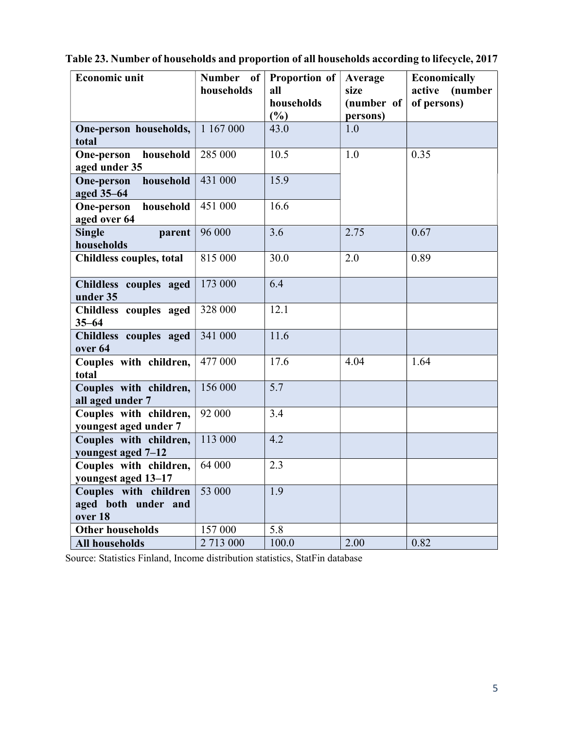| <b>Economic unit</b>                         | Number of  | Proportion of     | Average            | Economically                     |
|----------------------------------------------|------------|-------------------|--------------------|----------------------------------|
|                                              | households | all<br>households | size<br>(number of | active<br>(number<br>of persons) |
|                                              |            | (%)               | persons)           |                                  |
| One-person households,                       | 1 167 000  | 43.0              | 1.0                |                                  |
| total                                        |            |                   |                    |                                  |
| household<br>One-person                      | 285 000    | 10.5              | 1.0                | 0.35                             |
| aged under 35                                |            | 15.9              |                    |                                  |
| household<br><b>One-person</b><br>aged 35-64 | 431 000    |                   |                    |                                  |
| household<br><b>One-person</b>               | 451 000    | 16.6              |                    |                                  |
| aged over 64                                 |            |                   |                    |                                  |
| <b>Single</b><br>parent                      | 96 000     | 3.6               | 2.75               | 0.67                             |
| households                                   |            |                   |                    |                                  |
| <b>Childless couples, total</b>              | 815 000    | 30.0              | 2.0                | 0.89                             |
| Childless couples aged                       | 173 000    | 6.4               |                    |                                  |
| under 35                                     |            |                   |                    |                                  |
| Childless couples aged                       | 328 000    | 12.1              |                    |                                  |
| $35 - 64$<br>Childless couples aged          | 341 000    | 11.6              |                    |                                  |
| over 64                                      |            |                   |                    |                                  |
| Couples with children,                       | 477 000    | 17.6              | 4.04               | 1.64                             |
| total                                        |            |                   |                    |                                  |
| Couples with children,<br>all aged under 7   | 156 000    | 5.7               |                    |                                  |
| Couples with children,                       | 92 000     | 3.4               |                    |                                  |
| youngest aged under 7                        |            |                   |                    |                                  |
| Couples with children,                       | 113 000    | 4.2               |                    |                                  |
| youngest aged 7-12                           |            |                   |                    |                                  |
| Couples with children,                       | 64 000     | 2.3               |                    |                                  |
| youngest aged 13-17                          |            |                   |                    |                                  |
| Couples with children                        | 53 000     | 1.9               |                    |                                  |
| aged both under and<br>over 18               |            |                   |                    |                                  |
| <b>Other households</b>                      | 157 000    | 5.8               |                    |                                  |
| <b>All households</b>                        | 2 713 000  | 100.0             | 2.00               | 0.82                             |

Table 23. Number of households and proportion of all households according to lifecycle, 2017

Source: Statistics Finland, Income distribution statistics, StatFin database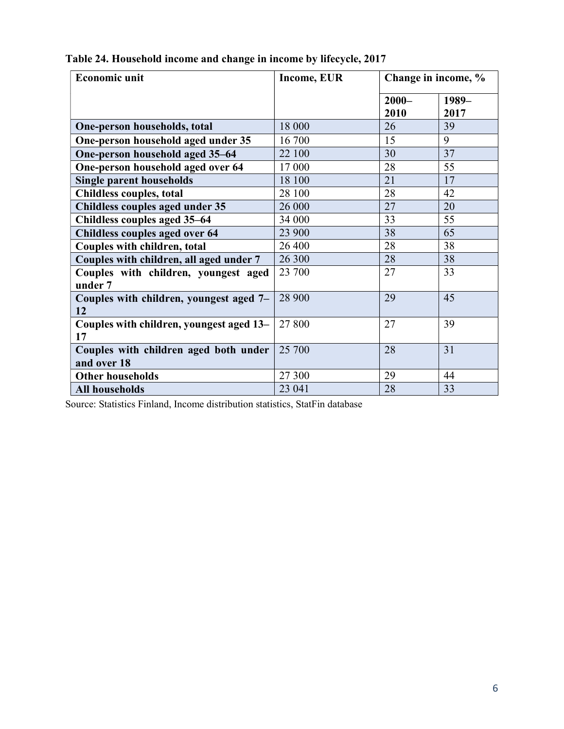| <b>Economic unit</b>                                 | <b>Income, EUR</b> | Change in income, % |               |
|------------------------------------------------------|--------------------|---------------------|---------------|
|                                                      |                    | $2000 -$<br>2010    | 1989-<br>2017 |
| One-person households, total                         | 18 000             | 26                  | 39            |
| One-person household aged under 35                   | 16 700             | 15                  | 9             |
| One-person household aged 35-64                      | 22 100             | 30                  | 37            |
| One-person household aged over 64                    | 17 000             | 28                  | 55            |
| <b>Single parent households</b>                      | 18 100             | 21                  | 17            |
| Childless couples, total                             | 28 100             | 28                  | 42            |
| Childless couples aged under 35                      | 26 000             | 27                  | 20            |
| Childless couples aged 35–64                         | 34 000             | 33                  | 55            |
| Childless couples aged over 64                       | 23 900             | 38                  | 65            |
| Couples with children, total                         | 26 400             | 28                  | 38            |
| Couples with children, all aged under 7              | 26 300             | 28                  | 38            |
| Couples with children, youngest aged<br>under 7      | 23 700             | 27                  | 33            |
| Couples with children, youngest aged 7-<br>12        | 28 900             | 29                  | 45            |
| Couples with children, youngest aged 13-<br>17       | 27 800             | 27                  | 39            |
| Couples with children aged both under<br>and over 18 | 25 700             | 28                  | 31            |
| <b>Other households</b>                              | 27 300             | 29                  | 44            |
| <b>All households</b>                                | 23 041             | 28                  | 33            |

Table 24. Household income and change in income by lifecycle, 2017

Source: Statistics Finland, Income distribution statistics, StatFin database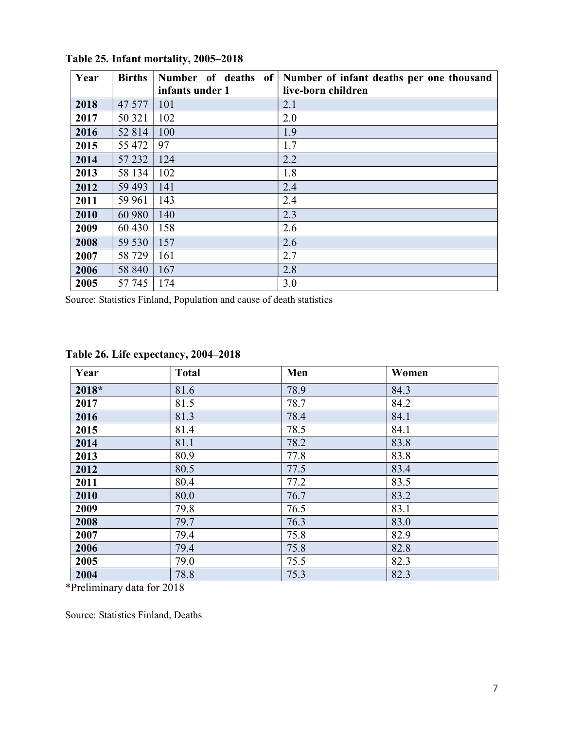| Year | <b>Births</b> | Number of deaths of | Number of infant deaths per one thousand |
|------|---------------|---------------------|------------------------------------------|
|      |               | infants under 1     | live-born children                       |
| 2018 | 47 577        | 101                 | 2.1                                      |
| 2017 | 50 321        | 102                 | 2.0                                      |
| 2016 | 52 814        | 100                 | 1.9                                      |
| 2015 | 55 472        | 97                  | 1.7                                      |
| 2014 | 57 232        | 124                 | 2.2                                      |
| 2013 | 58 134        | 102                 | 1.8                                      |
| 2012 | 59 493        | 141                 | 2.4                                      |
| 2011 | 59 961        | 143                 | 2.4                                      |
| 2010 | 60 980        | 140                 | 2.3                                      |
| 2009 | 60 430        | 158                 | 2.6                                      |
| 2008 | 59 530        | 157                 | 2.6                                      |
| 2007 | 58 729        | 161                 | 2.7                                      |
| 2006 | 58 840        | 167                 | 2.8                                      |
| 2005 | 57 745        | 174                 | 3.0                                      |

Table 25. Infant mortality, 2005–2018

Source: Statistics Finland, Population and cause of death statistics

| Year  | <b>Total</b> | Men  | Women |
|-------|--------------|------|-------|
| 2018* | 81.6         | 78.9 | 84.3  |
| 2017  | 81.5         | 78.7 | 84.2  |
| 2016  | 81.3         | 78.4 | 84.1  |
| 2015  | 81.4         | 78.5 | 84.1  |
| 2014  | 81.1         | 78.2 | 83.8  |
| 2013  | 80.9         | 77.8 | 83.8  |
| 2012  | 80.5         | 77.5 | 83.4  |
| 2011  | 80.4         | 77.2 | 83.5  |
| 2010  | 80.0         | 76.7 | 83.2  |
| 2009  | 79.8         | 76.5 | 83.1  |
| 2008  | 79.7         | 76.3 | 83.0  |
| 2007  | 79.4         | 75.8 | 82.9  |
| 2006  | 79.4         | 75.8 | 82.8  |
| 2005  | 79.0         | 75.5 | 82.3  |
| 2004  | 78.8         | 75.3 | 82.3  |

#### Table 26. Life expectancy, 2004–2018

\*Preliminary data for 2018

Source: Statistics Finland, Deaths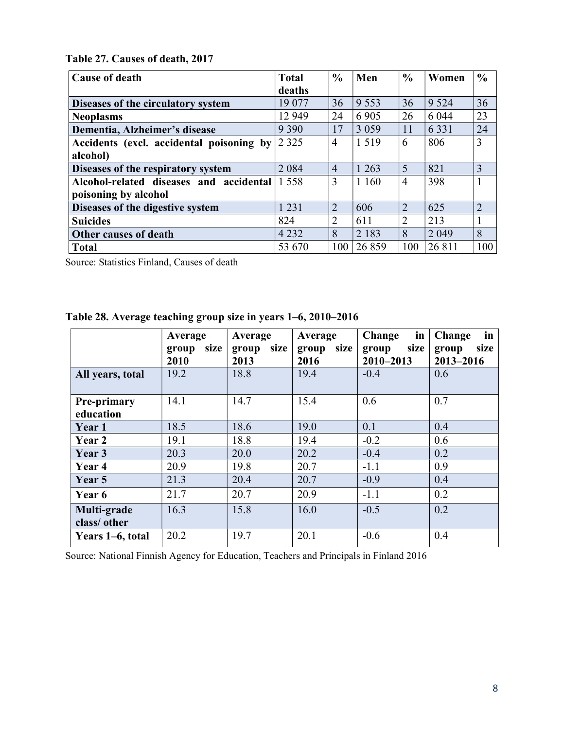Table 27. Causes of death, 2017

| <b>Cause of death</b>                    | <b>Total</b> | $\frac{0}{0}$  | Men     | $\frac{6}{6}$  | Women   | $\frac{0}{0}$  |
|------------------------------------------|--------------|----------------|---------|----------------|---------|----------------|
|                                          | deaths       |                |         |                |         |                |
| Diseases of the circulatory system       | 19 077       | 36             | 9 5 5 3 | 36             | 9 5 2 4 | 36             |
| <b>Neoplasms</b>                         | 12 9 49      | 24             | 6 9 0 5 | 26             | 6 0 4 4 | 23             |
| Dementia, Alzheimer's disease            | 9 3 9 0      | 17             | 3 0 5 9 | 11             | 6 3 3 1 | 24             |
| Accidents (excl. accidental poisoning by | 2 3 2 5      | 4              | 1519    | 6              | 806     | 3              |
| alcohol)                                 |              |                |         |                |         |                |
| Diseases of the respiratory system       | 2 0 8 4      | $\overline{4}$ | 1 2 6 3 | 5              | 821     | 3              |
| Alcohol-related diseases and accidental  | 1 5 5 8      | 3              | 1 1 6 0 | $\overline{4}$ | 398     |                |
| poisoning by alcohol                     |              |                |         |                |         |                |
| Diseases of the digestive system         | 1 2 3 1      | $\overline{2}$ | 606     | $\overline{2}$ | 625     | $\overline{2}$ |
| <b>Suicides</b>                          | 824          | $\overline{2}$ | 611     | $\overline{2}$ | 213     |                |
| Other causes of death                    | 4 2 3 2      | 8              | 2 1 8 3 | 8              | 2 0 4 9 | 8              |
| <b>Total</b>                             | 53 670       | 100            | 26859   | 100            | 26 811  | 100            |

Source: Statistics Finland, Causes of death

| Table 28. Average teaching group size in years 1–6, 2010–2016 |  |  |
|---------------------------------------------------------------|--|--|
|                                                               |  |  |

|                                 | Average               | Average               | Average               | Change<br>in                   | in<br>Change               |
|---------------------------------|-----------------------|-----------------------|-----------------------|--------------------------------|----------------------------|
|                                 | size<br>group<br>2010 | size<br>group<br>2013 | size<br>group<br>2016 | size<br>group<br>$2010 - 2013$ | size<br>group<br>2013-2016 |
| All years, total                | 19.2                  | 18.8                  | 19.4                  | $-0.4$                         | 0.6                        |
| <b>Pre-primary</b><br>education | 14.1                  | 14.7                  | 15.4                  | 0.6                            | 0.7                        |
| Year 1                          | 18.5                  | 18.6                  | 19.0                  | 0.1                            | 0.4                        |
| Year 2                          | 19.1                  | 18.8                  | 19.4                  | $-0.2$                         | 0.6                        |
| Year 3                          | 20.3                  | 20.0                  | 20.2                  | $-0.4$                         | 0.2                        |
| Year 4                          | 20.9                  | 19.8                  | 20.7                  | $-1.1$                         | 0.9                        |
| Year 5                          | 21.3                  | 20.4                  | 20.7                  | $-0.9$                         | 0.4                        |
| Year 6                          | 21.7                  | 20.7                  | 20.9                  | $-1.1$                         | 0.2                        |
| Multi-grade<br>class/other      | 16.3                  | 15.8                  | 16.0                  | $-0.5$                         | 0.2                        |
| Years 1–6, total                | 20.2                  | 19.7                  | 20.1                  | $-0.6$                         | 0.4                        |

Source: National Finnish Agency for Education, Teachers and Principals in Finland 2016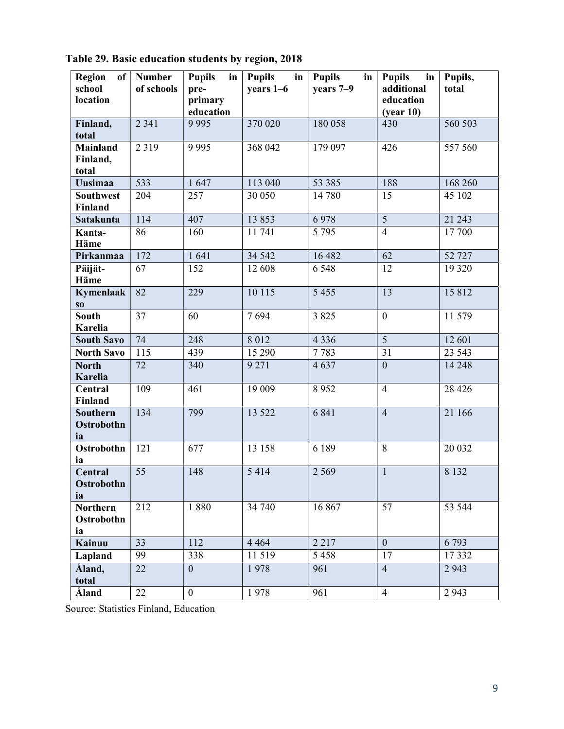| <b>Region</b><br>of<br>school<br>location | <b>Number</b><br>of schools | <b>Pupils</b><br>in<br>pre-<br>primary<br>education | <b>Pupils</b><br>$\mathbf{in}$<br>years 1-6 | <b>Pupils</b><br>in<br>years 7-9 | <b>Pupils</b><br>in<br>additional<br>education<br>(year 10) | Pupils,<br>total |
|-------------------------------------------|-----------------------------|-----------------------------------------------------|---------------------------------------------|----------------------------------|-------------------------------------------------------------|------------------|
| Finland,<br>total                         | 2 3 4 1                     | 9 9 9 5                                             | 370 020                                     | 180 058                          | 430                                                         | 560 503          |
| <b>Mainland</b><br>Finland,<br>total      | 2 3 1 9                     | 9 9 9 5                                             | 368 042                                     | 179097                           | 426                                                         | 557560           |
| <b>Uusimaa</b>                            | 533                         | 1647                                                | 113 040                                     | 53 385                           | 188                                                         | 168 260          |
| <b>Southwest</b><br><b>Finland</b>        | 204                         | 257                                                 | 30 050                                      | 14 780                           | 15                                                          | 45 102           |
| Satakunta                                 | 114                         | 407                                                 | 13853                                       | 6978                             | $\overline{5}$                                              | 21 243           |
| Kanta-<br>Häme                            | 86                          | 160                                                 | 11 741                                      | 5 7 9 5                          | $\overline{4}$                                              | 17 700           |
| Pirkanmaa                                 | 172                         | 1641                                                | 34 5 42                                     | 16 482                           | $\overline{62}$                                             | 52 727           |
| Päijät-<br><b>Häme</b>                    | 67                          | 152                                                 | 12 608                                      | 6 5 4 8                          | 12                                                          | 19 3 20          |
| Kymenlaak<br>$\bf{S0}$                    | 82                          | 229                                                 | 10 115                                      | 5 4 5 5                          | 13                                                          | 15 8 12          |
| <b>South</b><br>Karelia                   | 37                          | 60                                                  | 7694                                        | 3 8 2 5                          | $\mathbf{0}$                                                | 11 579           |
| <b>South Savo</b>                         | 74                          | 248                                                 | 8 0 1 2                                     | 4 3 3 6                          | $\overline{5}$                                              | 12 601           |
| <b>North Savo</b>                         | 115                         | 439                                                 | 15 290                                      | 7783                             | 31                                                          | 23 5 43          |
| <b>North</b><br>Karelia                   | 72                          | 340                                                 | 9 2 7 1                                     | 4637                             | $\overline{0}$                                              | 14 248           |
| Central<br><b>Finland</b>                 | 109                         | 461                                                 | 19 009                                      | 8952                             | $\overline{4}$                                              | 28 4 26          |
| <b>Southern</b><br>Ostrobothn<br>ia       | 134                         | 799                                                 | 13 5 22                                     | 6 8 4 1                          | $\overline{4}$                                              | 21 166           |
| Ostrobothn<br>ia                          | 121                         | 677                                                 | 13 158                                      | 6 189                            | 8                                                           | 20 032           |
| Central<br>Ostrobothn<br>ia               | 55                          | 148                                                 | 5414                                        | 2 5 6 9                          | $\mathbf{1}$                                                | 8 1 3 2          |
| <b>Northern</b><br>Ostrobothn<br>ia       | 212                         | 1880                                                | 34 740                                      | 16 867                           | 57                                                          | 53 544           |
| Kainuu                                    | 33                          | 112                                                 | 4 4 6 4                                     | 2 2 1 7                          | $\overline{0}$                                              | 6793             |
| Lapland                                   | 99                          | 338                                                 | 11 519                                      | 5 4 5 8                          | 17                                                          | 17332            |
| Åland,<br>total                           | 22                          | $\mathbf{0}$                                        | 1978                                        | 961                              | $\overline{4}$                                              | 2 9 4 3          |
| Åland                                     | $22\,$                      | $\boldsymbol{0}$                                    | 1978                                        | 961                              | $\overline{4}$                                              | 2 9 4 3          |

Table 29. Basic education students by region, 2018

Source: Statistics Finland, Education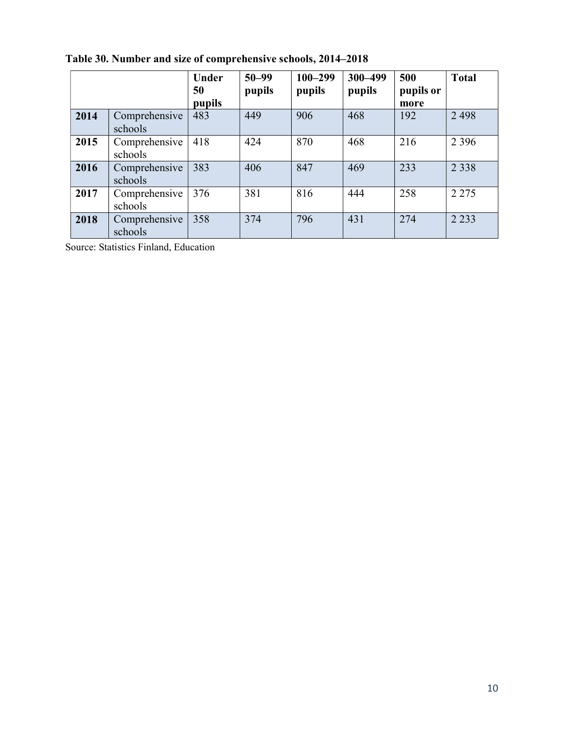|      |                          | Under<br>50<br>pupils | $50 - 99$<br>pupils | $100 - 299$<br>pupils | 300-499<br>pupils | 500<br>pupils or<br>more | <b>Total</b> |
|------|--------------------------|-----------------------|---------------------|-----------------------|-------------------|--------------------------|--------------|
| 2014 | Comprehensive<br>schools | 483                   | 449                 | 906                   | 468               | 192                      | 2 4 9 8      |
| 2015 | Comprehensive<br>schools | 418                   | 424                 | 870                   | 468               | 216                      | 2 3 9 6      |
| 2016 | Comprehensive<br>schools | 383                   | 406                 | 847                   | 469               | 233                      | 2 3 3 8      |
| 2017 | Comprehensive<br>schools | 376                   | 381                 | 816                   | 444               | 258                      | 2 2 7 5      |
| 2018 | Comprehensive<br>schools | 358                   | 374                 | 796                   | 431               | 274                      | 2 2 3 3      |

Table 30. Number and size of comprehensive schools, 2014–2018

Source: Statistics Finland, Education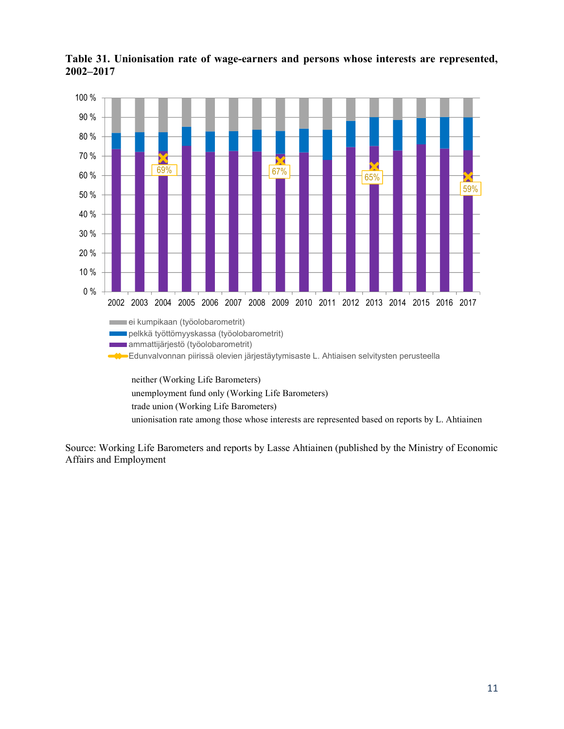

Table 31. Unionisation rate of wage-earners and persons whose interests are represented, 2002–2017

Source: Working Life Barometers and reports by Lasse Ahtiainen (published by the Ministry of Economic Affairs and Employment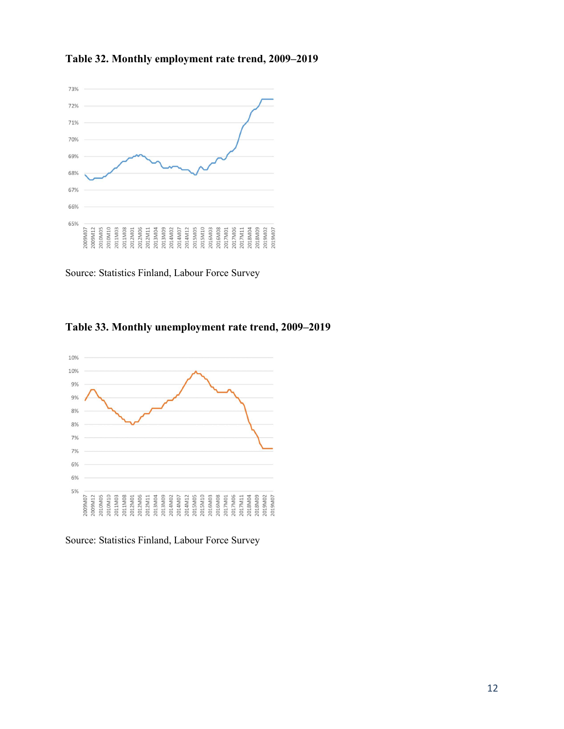



Source: Statistics Finland, Labour Force Survey





Source: Statistics Finland, Labour Force Survey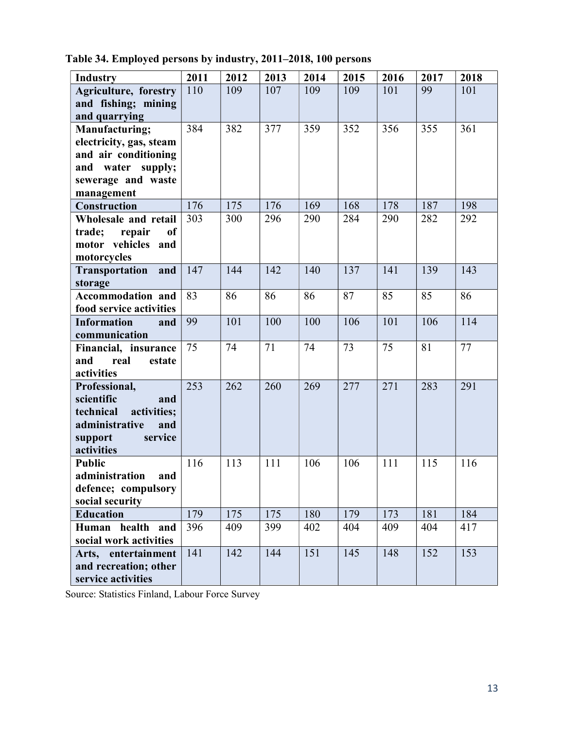| <b>Industry</b>                     | 2011 | 2012 | 2013 | 2014 | 2015 | 2016 | 2017 | 2018 |
|-------------------------------------|------|------|------|------|------|------|------|------|
| Agriculture, forestry               | 110  | 109  | 107  | 109  | 109  | 101  | 99   | 101  |
| and fishing; mining                 |      |      |      |      |      |      |      |      |
| and quarrying                       |      |      |      |      |      |      |      |      |
| Manufacturing;                      | 384  | 382  | 377  | 359  | 352  | 356  | 355  | 361  |
| electricity, gas, steam             |      |      |      |      |      |      |      |      |
| and air conditioning                |      |      |      |      |      |      |      |      |
| and water supply;                   |      |      |      |      |      |      |      |      |
| sewerage and waste                  |      |      |      |      |      |      |      |      |
| management                          |      |      |      |      |      |      |      |      |
| <b>Construction</b>                 | 176  | 175  | 176  | 169  | 168  | 178  | 187  | 198  |
| Wholesale and retail                | 303  | 300  | 296  | 290  | 284  | 290  | 282  | 292  |
| trade;<br>repair<br><b>of</b>       |      |      |      |      |      |      |      |      |
| motor vehicles and                  |      |      |      |      |      |      |      |      |
| motorcycles                         |      |      |      |      |      |      |      |      |
| <b>Transportation</b><br>and        | 147  | 144  | 142  | 140  | 137  | 141  | 139  | 143  |
| storage                             |      |      |      |      |      |      |      |      |
| Accommodation and                   | 83   | 86   | 86   | 86   | 87   | 85   | 85   | 86   |
| food service activities             |      |      |      |      |      |      |      |      |
| <b>Information</b><br>and           | 99   | 101  | 100  | 100  | 106  | 101  | 106  | 114  |
| communication                       |      |      |      |      |      |      |      |      |
| Financial, insurance                | 75   | 74   | 71   | 74   | 73   | 75   | 81   | 77   |
| and<br>real<br>estate               |      |      |      |      |      |      |      |      |
| activities                          |      |      |      |      |      |      |      |      |
| Professional,                       | 253  | 262  | 260  | 269  | 277  | 271  | 283  | 291  |
| scientific<br>and                   |      |      |      |      |      |      |      |      |
| activities;<br>technical            |      |      |      |      |      |      |      |      |
| administrative<br>and               |      |      |      |      |      |      |      |      |
| service<br>support                  |      |      |      |      |      |      |      |      |
| activities                          |      |      |      |      |      |      |      |      |
| <b>Public</b>                       | 116  | 113  | 111  | 106  | 106  | 111  | 115  | 116  |
| administration<br>and               |      |      |      |      |      |      |      |      |
| defence; compulsory                 |      |      |      |      |      |      |      |      |
| social security<br><b>Education</b> | 179  | 175  | 175  | 180  | 179  | 173  | 181  | 184  |
| Human health and                    | 396  | 409  | 399  | 402  | 404  | 409  | 404  | 417  |
| social work activities              |      |      |      |      |      |      |      |      |
| Arts, entertainment                 | 141  | 142  | 144  | 151  | 145  | 148  | 152  | 153  |
| and recreation; other               |      |      |      |      |      |      |      |      |
| service activities                  |      |      |      |      |      |      |      |      |
|                                     |      |      |      |      |      |      |      |      |

Table 34. Employed persons by industry, 2011–2018, 100 persons

Source: Statistics Finland, Labour Force Survey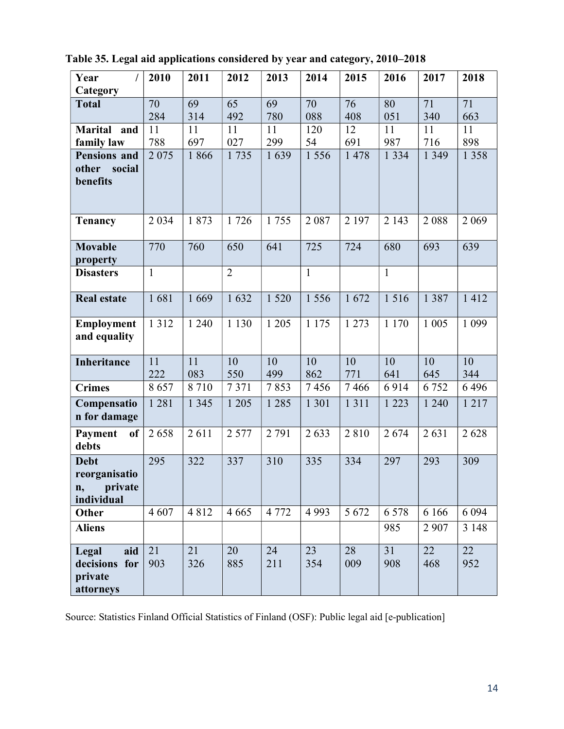| Year                  | 2010         | 2011    | 2012           | 2013      | 2014         | 2015      | 2016         | 2017      | 2018      |
|-----------------------|--------------|---------|----------------|-----------|--------------|-----------|--------------|-----------|-----------|
| Category              |              |         |                |           |              |           |              |           |           |
| <b>Total</b>          | 70           | 69      | 65             | 69        | 70           | 76        | 80           | 71        | 71        |
|                       | 284          | 314     | 492            | 780       | 088          | 408       | 051          | 340       | 663       |
| <b>Marital</b><br>and | 11           | 11      | 11             | 11        | 120          | 12        | 11           | 11        | 11        |
| family law            | 788          | 697     | 027            | 299       | 54           | 691       | 987          | 716       | 898       |
| <b>Pensions and</b>   | 2 0 7 5      | 1866    | 1735           | 1639      | 1 5 5 6      | 1 478     | 1 3 3 4      | 1 3 4 9   | 1 3 5 8   |
| other<br>social       |              |         |                |           |              |           |              |           |           |
| benefits              |              |         |                |           |              |           |              |           |           |
|                       |              |         |                |           |              |           |              |           |           |
| <b>Tenancy</b>        | 2 0 3 4      | 1873    | 1726           | 1755      | 2087         | 2 197     | 2 1 4 3      | 2088      | 2 0 6 9   |
|                       |              |         |                |           |              |           |              |           |           |
| <b>Movable</b>        | 770          | 760     | 650            | 641       | 725          | 724       | 680          | 693       | 639       |
| property              |              |         |                |           |              |           |              |           |           |
| <b>Disasters</b>      | $\mathbf{1}$ |         | $\overline{2}$ |           | $\mathbf{1}$ |           | $\mathbf{1}$ |           |           |
|                       |              |         |                |           |              |           |              |           |           |
| <b>Real estate</b>    | 1681         | 1669    | 1632           | 1 5 2 0   | 1 5 5 6      | 1672      | 1516         | 1 3 8 7   | 1412      |
| Employment            | 1 3 1 2      | 1 2 4 0 | 1 1 3 0        | 1 2 0 5   | 1 1 7 5      | 1 2 7 3   | 1 1 7 0      | 1 0 0 5   | 1 0 9 9   |
| and equality          |              |         |                |           |              |           |              |           |           |
|                       | 11           | 11      |                |           |              |           | 10           |           |           |
| Inheritance           | 222          | 083     | 10<br>550      | 10<br>499 | 10<br>862    | 10<br>771 | 641          | 10<br>645 | 10<br>344 |
| <b>Crimes</b>         | 8657         | 8710    | 7371           | 7853      | 7456         | 7466      | 6914         | 6752      | 6496      |
| Compensatio           | 1 2 8 1      | 1 3 4 5 | 1 2 0 5        | 1 2 8 5   | 1 3 0 1      | 1 3 1 1   | 1 2 2 3      | 1 240     | 1217      |
| n for damage          |              |         |                |           |              |           |              |           |           |
| Payment<br><b>of</b>  | 2658         | 2611    | 2 5 7 7        | 2 7 9 1   | 2633         | 2810      | 2674         | 2631      | 2628      |
| debts                 |              |         |                |           |              |           |              |           |           |
| <b>Debt</b>           | 295          | 322     | 337            | 310       | 335          | 334       | 297          | 293       | 309       |
| reorganisatio         |              |         |                |           |              |           |              |           |           |
| private<br>n,         |              |         |                |           |              |           |              |           |           |
| individual            |              |         |                |           |              |           |              |           |           |
| Other                 | 4 607        | 4812    | 4 6 6 5        | 4 7 7 2   | 4 9 9 3      | 5 6 7 2   | 6 5 7 8      | 6 1 6 6   | 6 0 9 4   |
| <b>Aliens</b>         |              |         |                |           |              |           | 985          | 2 9 0 7   | 3 1 4 8   |
| Legal<br>aid          | 21           | 21      | 20             | 24        | 23           | 28        | 31           | 22        | 22        |
| decisions for         | 903          | 326     | 885            | 211       | 354          | 009       | 908          | 468       | 952       |
| private               |              |         |                |           |              |           |              |           |           |
| attorneys             |              |         |                |           |              |           |              |           |           |

Table 35. Legal aid applications considered by year and category, 2010–2018

Source: Statistics Finland Official Statistics of Finland (OSF): Public legal aid [e-publication]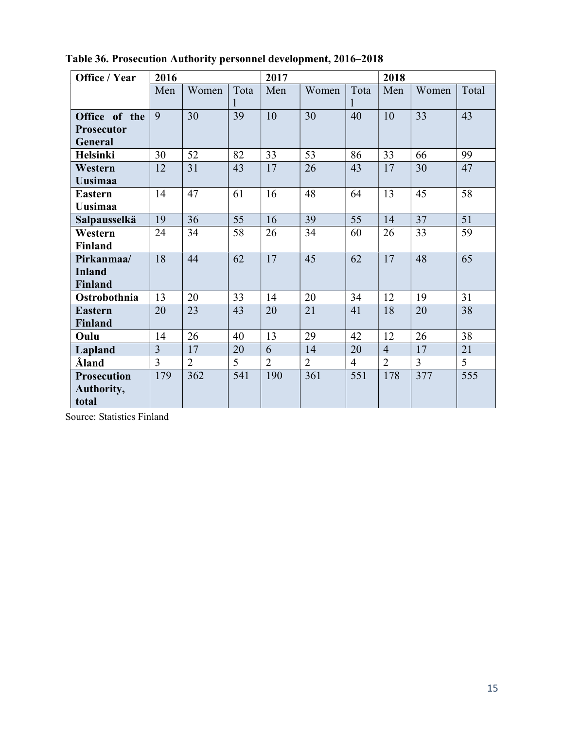| Office / Year                                 | 2016           |                |      | 2017           |                |                | 2018           |                |       |
|-----------------------------------------------|----------------|----------------|------|----------------|----------------|----------------|----------------|----------------|-------|
|                                               | Men            | Women          | Tota | Men            | Women          | Tota           | Men            | Women          | Total |
| Office of the<br><b>Prosecutor</b><br>General | 9              | 30             | 39   | 10             | 30             | 40             | 10             | 33             | 43    |
| <b>Helsinki</b>                               | 30             | 52             | 82   | 33             | 53             | 86             | 33             | 66             | 99    |
| Western<br><b>Uusimaa</b>                     | 12             | 31             | 43   | 17             | 26             | 43             | 17             | 30             | 47    |
| <b>Eastern</b><br><b>Uusimaa</b>              | 14             | 47             | 61   | 16             | 48             | 64             | 13             | 45             | 58    |
| Salpausselkä                                  | 19             | 36             | 55   | 16             | 39             | 55             | 14             | 37             | 51    |
| Western<br><b>Finland</b>                     | 24             | 34             | 58   | 26             | 34             | 60             | 26             | 33             | 59    |
| Pirkanmaa/<br><b>Inland</b><br><b>Finland</b> | 18             | 44             | 62   | 17             | 45             | 62             | 17             | 48             | 65    |
| Ostrobothnia                                  | 13             | 20             | 33   | 14             | 20             | 34             | 12             | 19             | 31    |
| <b>Eastern</b><br><b>Finland</b>              | 20             | 23             | 43   | 20             | 21             | 41             | 18             | 20             | 38    |
| Oulu                                          | 14             | 26             | 40   | 13             | 29             | 42             | 12             | 26             | 38    |
| Lapland                                       | $\overline{3}$ | 17             | 20   | 6              | 14             | 20             | $\overline{4}$ | 17             | 21    |
| Åland                                         | $\overline{3}$ | $\overline{2}$ | 5    | $\overline{2}$ | $\overline{2}$ | $\overline{4}$ | $\overline{2}$ | $\overline{3}$ | 5     |
| <b>Prosecution</b><br>Authority,<br>total     | 179            | 362            | 541  | 190            | 361            | 551            | 178            | 377            | 555   |

Table 36. Prosecution Authority personnel development, 2016–2018

Source: Statistics Finland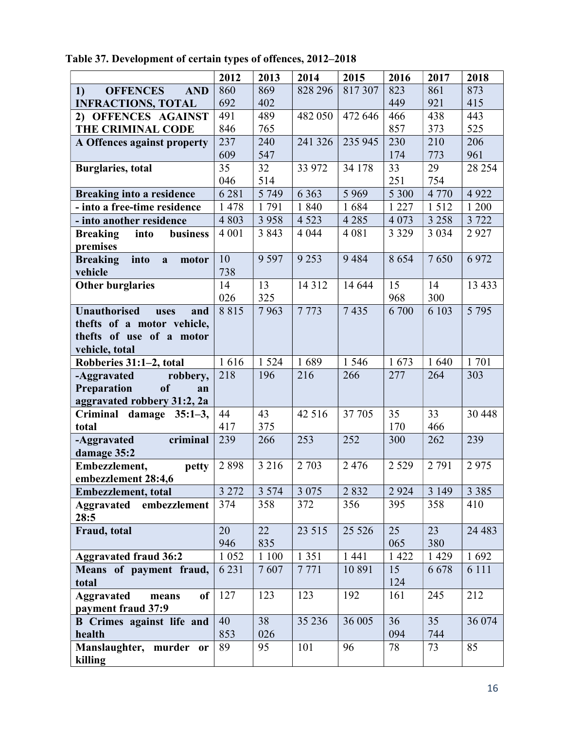|                                           | 2012      | 2013            | 2014    | 2015    | 2016         | 2017            | 2018    |
|-------------------------------------------|-----------|-----------------|---------|---------|--------------|-----------------|---------|
| <b>OFFENCES</b><br>1)<br><b>AND</b>       | 860       | 869             | 828 296 | 817307  | 823          | 861             | 873     |
| <b>INFRACTIONS, TOTAL</b>                 | 692       | 402             |         |         | 449          | 921             | 415     |
| 2) OFFENCES AGAINST                       | 491       | 489             | 482 050 | 472 646 | 466          | 438             | 443     |
| <b>THE CRIMINAL CODE</b>                  | 846       | 765             |         |         | 857          | 373             | 525     |
| A Offences against property               | 237       | 240             | 241 326 | 235 945 | 230          | 210             | 206     |
|                                           | 609       | 547             |         |         | 174          | 773             | 961     |
| <b>Burglaries</b> , total                 | 35        | $\overline{32}$ | 33 972  | 34 178  | 33           | $\overline{29}$ | 28 254  |
|                                           | 046       | 514             |         |         | 251          | 754             |         |
| <b>Breaking into a residence</b>          | 6 2 8 1   | 5 7 4 9         | 6 3 6 3 | 5 9 6 9 | 5 300        | 4 7 7 0         | 4 9 2 2 |
| - into a free-time residence              | 1478      | 1791            | 1840    | 1684    | 1 2 2 7      | 1512            | 1 200   |
| - into another residence                  | 4 8 0 3   | 3 9 5 8         | 4 5 23  | 4 2 8 5 | 4 0 7 3      | 3 2 5 8         | 3 7 2 2 |
| <b>Breaking</b><br>business<br>into       | 4 0 0 1   | 3843            | 4 0 4 4 | 4 0 8 1 | 3 3 2 9      | 3 0 3 4         | 2927    |
| premises                                  |           |                 |         |         |              |                 |         |
| into<br><b>Breaking</b><br>a<br>motor     | 10        | 9 5 9 7         | 9 2 5 3 | 9484    | 8654         | 7650            | 6972    |
| vehicle                                   | 738       |                 |         |         |              |                 | 13 4 33 |
| <b>Other burglaries</b>                   | 14<br>026 | 13<br>325       | 14 3 12 | 14 644  | 15           | 14              |         |
| <b>Unauthorised</b>                       | 8815      | 7963            | 7773    | 7435    | 968<br>6 700 | 300<br>6 103    | 5 7 9 5 |
| and<br>uses<br>thefts of a motor vehicle, |           |                 |         |         |              |                 |         |
| thefts of use of a motor                  |           |                 |         |         |              |                 |         |
| vehicle, total                            |           |                 |         |         |              |                 |         |
| Robberies 31:1-2, total                   | 1616      | 1 5 2 4         | 1689    | 1 5 4 6 | 1673         | 1640            | 1701    |
| -Aggravated<br>robbery,                   | 218       | 196             | 216     | 266     | 277          | 264             | 303     |
| Preparation<br>of<br>an                   |           |                 |         |         |              |                 |         |
| aggravated robbery 31:2, 2a               |           |                 |         |         |              |                 |         |
| Criminal damage 35:1-3,                   | 44        | 43              | 42 5 16 | 37 705  | 35           | 33              | 30 4 48 |
| total                                     | 417       | 375             |         |         | 170          | 466             |         |
| -Aggravated<br>criminal                   | 239       | 266             | 253     | 252     | 300          | 262             | 239     |
| damage 35:2                               |           |                 |         |         |              |                 |         |
| Embezzlement,<br>petty                    | 2898      | 3 2 1 6         | 2 7 0 3 | 2 4 7 6 | 2 5 2 9      | 2 7 9 1         | 2975    |
| embezzlement 28:4,6                       |           |                 |         |         |              |                 |         |
| Embezzlement, total                       | 3 2 7 2   | 3 5 7 4         | 3 0 7 5 | 2832    | 2 9 2 4      | 3 1 4 9         | 3 3 8 5 |
| <b>Aggravated</b><br>embezzlement         | 374       | 358             | 372     | 356     | 395          | 358             | 410     |
| 28:5                                      |           |                 |         |         |              |                 |         |
| Fraud, total                              | 20        | 22              | 23 5 15 | 25 5 26 | 25           | 23              | 24 4 83 |
|                                           | 946       | 835             |         |         | 065          | 380             |         |
| <b>Aggravated fraud 36:2</b>              | 1 0 5 2   | 1 1 0 0         | 1 3 5 1 | 1 4 4 1 | 1 4 2 2      | 1 4 2 9         | 1692    |
| Means of payment fraud,                   | 6 2 3 1   | 7607            | 7771    | 10 891  | 15           | 6678            | 6 1 1 1 |
| total                                     |           |                 |         |         | 124          |                 |         |
| <b>Aggravated</b><br>of<br>means          | 127       | 123             | 123     | 192     | 161          | 245             | 212     |
| payment fraud 37:9                        |           |                 |         |         |              |                 |         |
| <b>B</b> Crimes against life and          | 40        | 38              | 35 236  | 36 005  | 36           | 35              | 36 074  |
| health                                    | 853       | 026             |         |         | 094          | 744             |         |
| Manslaughter, murder or                   | 89        | 95              | 101     | 96      | 78           | 73              | 85      |
| killing                                   |           |                 |         |         |              |                 |         |

Table 37. Development of certain types of offences, 2012–2018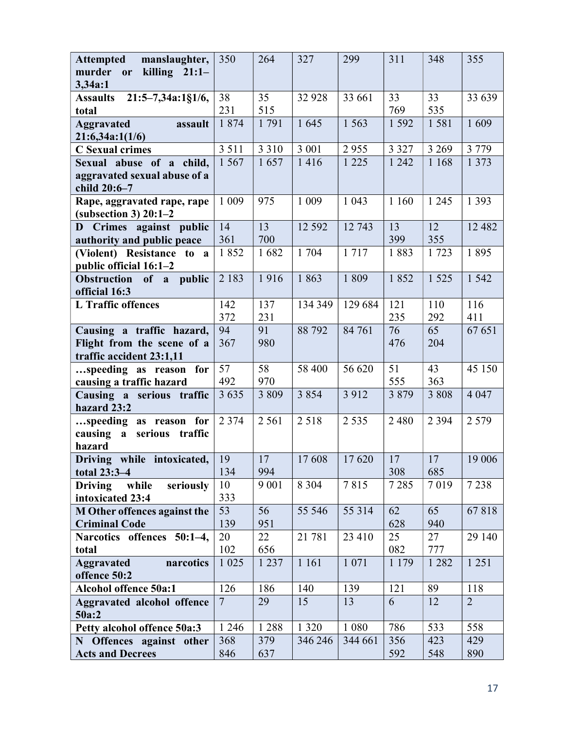| manslaughter,<br><b>Attempted</b>           | 350            | 264       | 327      | 299     | 311       | 348       | 355            |
|---------------------------------------------|----------------|-----------|----------|---------|-----------|-----------|----------------|
| killing $21:1-$<br>murder<br>or<br>3,34a:1  |                |           |          |         |           |           |                |
| 21:5-7,34a:1§1/6,<br><b>Assaults</b>        | 38             | 35        | 32 928   | 33 661  | 33        | 33        | 33 639         |
| total                                       | 231            | 515       |          |         | 769       | 535       |                |
| <b>Aggravated</b><br>assault                | 1 874          | 1791      | 1 645    | 1 5 6 3 | 1 5 9 2   | 1581      | 1609           |
| 21:6,34a:1(1/6)                             |                |           |          |         |           |           |                |
| <b>C</b> Sexual crimes                      | 3 5 1 1        | 3 3 1 0   | 3 0 0 1  | 2955    | 3 3 2 7   | 3 2 6 9   | 3 7 7 9        |
| Sexual abuse of a child,                    | 1 5 6 7        | 1657      | 1416     | 1 2 2 5 | 1 242     | 1 1 6 8   | 1 3 7 3        |
| aggravated sexual abuse of a                |                |           |          |         |           |           |                |
| child 20:6-7<br>Rape, aggravated rape, rape | 1 0 0 9        | 975       | 1 0 0 9  | 1 0 4 3 | 1 1 6 0   | 1 2 4 5   | 1 3 9 3        |
| $subsection 3) 20:1-2$                      |                |           |          |         |           |           |                |
| D Crimes against public                     | 14             | 13        | 12 5 9 2 | 12 743  | 13        | 12        | 12 4 8 2       |
| authority and public peace                  | 361            | 700       |          |         | 399       | 355       |                |
| (Violent) Resistance to a                   | 1852           | 1682      | 1 704    | 1717    | 1883      | 1723      | 1895           |
| public official 16:1-2                      |                |           |          |         |           |           |                |
| Obstruction of a public                     | 2 1 8 3        | 1916      | 1863     | 1 809   | 1852      | 1 5 2 5   | 1 542          |
| official 16:3                               |                |           |          |         |           |           |                |
| <b>L</b> Traffic offences                   | 142            | 137       | 134 349  | 129 684 | 121       | 110       | 116            |
| Causing a traffic hazard,                   | 372<br>94      | 231<br>91 | 88 792   | 84 761  | 235<br>76 | 292<br>65 | 411<br>67 651  |
| Flight from the scene of a                  | 367            | 980       |          |         | 476       | 204       |                |
| traffic accident 23:1,11                    |                |           |          |         |           |           |                |
| speeding as reason<br>for                   | 57             | 58        | 58 400   | 56 620  | 51        | 43        | 45 150         |
| causing a traffic hazard                    | 492            | 970       |          |         | 555       | 363       |                |
| Causing a serious traffic                   | 3 6 3 5        | 3 8 0 9   | 3 8 5 4  | 3 9 1 2 | 3 8 7 9   | 3 8 0 8   | 4 0 4 7        |
| hazard 23:2                                 | 2 3 7 4        |           |          | 2 5 3 5 |           |           |                |
| speeding as reason for                      |                | 2 5 6 1   | 2 5 1 8  |         | 2 4 8 0   | 2 3 9 4   | 2 5 7 9        |
| causing a serious<br>traffic<br>hazard      |                |           |          |         |           |           |                |
| Driving while intoxicated,                  | 19             | 17        | 17608    | 17620   | 17        | 17        | 19 006         |
| total 23:3-4                                | 134            | 994       |          |         | 308       | 685       |                |
| <b>Driving</b><br>while<br>seriously        | 10             | 9 0 0 1   | 8 3 0 4  | 7815    | 7285      | 7019      | 7 2 3 8        |
| intoxicated 23:4                            | 333            |           |          |         |           |           |                |
| M Other offences against the                | 53             | 56        | 55 546   | 55 314  | 62        | 65        | 67818          |
| <b>Criminal Code</b>                        | 139            | 951       |          |         | 628       | 940       |                |
| Narcotics offences 50:1-4,<br>total         | 20<br>102      | 22<br>656 | 21 781   | 23 410  | 25<br>082 | 27<br>777 | 29 140         |
| <b>Aggravated</b><br>narcotics              | 1 0 25         | 1 2 3 7   | 1 1 6 1  | 1 0 7 1 | 1 1 7 9   | 1 2 8 2   | 1 2 5 1        |
| offence 50:2                                |                |           |          |         |           |           |                |
| <b>Alcohol offence 50a:1</b>                | 126            | 186       | 140      | 139     | 121       | 89        | 118            |
| <b>Aggravated alcohol offence</b>           | $\overline{7}$ | 29        | 15       | 13      | 6         | 12        | $\overline{2}$ |
| 50a:2                                       |                |           |          |         |           |           |                |
| Petty alcohol offence 50a:3                 | 1 2 4 6        | 1 2 8 8   | 1 3 2 0  | 1 0 8 0 | 786       | 533       | 558            |
| N Offences against other                    |                | 379       | 346 246  | 344 661 | 356       | 423       | 429            |
| <b>Acts and Decrees</b>                     | 368<br>846     | 637       |          |         | 592       | 548       | 890            |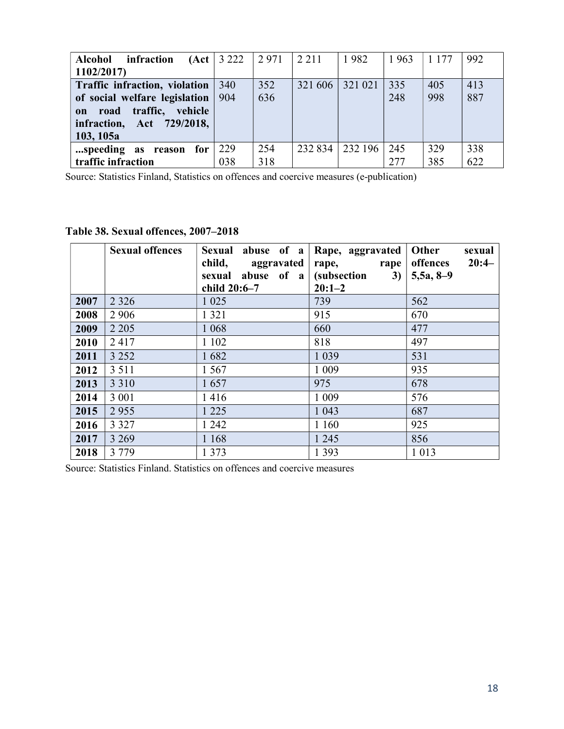| <b>Alcohol</b><br>infraction<br>1102/2017                                                                                                             | (Act   3 222) | 2971       | 2 2 1 1 | 1982    | 1963       | 1 1 7 7    | 992        |
|-------------------------------------------------------------------------------------------------------------------------------------------------------|---------------|------------|---------|---------|------------|------------|------------|
| Traffic infraction, violation<br>of social welfare legislation<br>road traffic,<br>vehicle<br>$\mathbf{on}$<br>infraction, Act 729/2018,<br>103, 105a | 340<br>904    | 352<br>636 | 321 606 | 321 021 | 335<br>248 | 405<br>998 | 413<br>887 |
| speeding as reason<br>for<br>traffic infraction                                                                                                       | 229<br>038    | 254<br>318 | 232 834 | 232 196 | 245<br>277 | 329<br>385 | 338<br>622 |

Source: Statistics Finland, Statistics on offences and coercive measures (e-publication)

### Table 38. Sexual offences, 2007–2018

|      | <b>Sexual offences</b> | Sexual abuse of a<br>child,<br>aggravated<br>sexual abuse of a<br>child 20:6-7 | Rape, aggravated<br>rape,<br>rape<br><i>(subsection)</i><br>3)<br>$20:1-2$ | <b>Other</b><br>sexual<br>$20:4-$<br>offences<br>$5,5a, 8-9$ |
|------|------------------------|--------------------------------------------------------------------------------|----------------------------------------------------------------------------|--------------------------------------------------------------|
| 2007 | 2 3 2 6                | 1 0 2 5                                                                        | 739                                                                        | 562                                                          |
| 2008 | 2 9 0 6                | 1 3 2 1                                                                        | 915                                                                        | 670                                                          |
| 2009 | 2 2 0 5                | 1 0 6 8                                                                        | 660                                                                        | 477                                                          |
| 2010 | 2417                   | 1 1 0 2                                                                        | 818                                                                        | 497                                                          |
| 2011 | 3 2 5 2                | 1682                                                                           | 1 0 3 9                                                                    | 531                                                          |
| 2012 | 3 5 1 1                | 1 5 6 7                                                                        | 1 0 0 9                                                                    | 935                                                          |
| 2013 | 3 3 1 0                | 1657                                                                           | 975                                                                        | 678                                                          |
| 2014 | 3 0 0 1                | 1416                                                                           | 1 0 0 9                                                                    | 576                                                          |
| 2015 | 2955                   | 1 2 2 5                                                                        | 1 0 4 3                                                                    | 687                                                          |
| 2016 | 3 3 2 7                | 1 2 4 2                                                                        | 1 1 6 0                                                                    | 925                                                          |
| 2017 | 3 2 6 9                | 1 1 6 8                                                                        | 1 2 4 5                                                                    | 856                                                          |
| 2018 | 3 7 7 9                | 1 3 7 3                                                                        | 1 3 9 3                                                                    | 1 0 1 3                                                      |

Source: Statistics Finland. Statistics on offences and coercive measures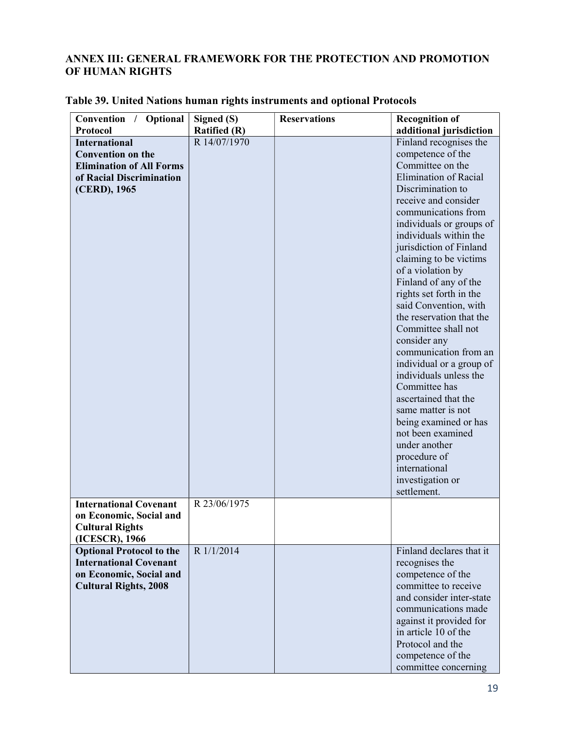#### ANNEX III: GENERAL FRAMEWORK FOR THE PROTECTION AND PROMOTION OF HUMAN RIGHTS

| Convention /<br>Optional        | Signed (S)          | <b>Reservations</b> | <b>Recognition of</b>                 |
|---------------------------------|---------------------|---------------------|---------------------------------------|
| Protocol                        | <b>Ratified (R)</b> |                     | additional jurisdiction               |
| <b>International</b>            | R 14/07/1970        |                     | Finland recognises the                |
| <b>Convention on the</b>        |                     |                     | competence of the                     |
| <b>Elimination of All Forms</b> |                     |                     | Committee on the                      |
| of Racial Discrimination        |                     |                     | <b>Elimination of Racial</b>          |
| (CERD), 1965                    |                     |                     | Discrimination to                     |
|                                 |                     |                     | receive and consider                  |
|                                 |                     |                     | communications from                   |
|                                 |                     |                     | individuals or groups of              |
|                                 |                     |                     | individuals within the                |
|                                 |                     |                     | jurisdiction of Finland               |
|                                 |                     |                     | claiming to be victims                |
|                                 |                     |                     | of a violation by                     |
|                                 |                     |                     | Finland of any of the                 |
|                                 |                     |                     | rights set forth in the               |
|                                 |                     |                     | said Convention, with                 |
|                                 |                     |                     | the reservation that the              |
|                                 |                     |                     | Committee shall not                   |
|                                 |                     |                     |                                       |
|                                 |                     |                     | consider any<br>communication from an |
|                                 |                     |                     |                                       |
|                                 |                     |                     | individual or a group of              |
|                                 |                     |                     | individuals unless the                |
|                                 |                     |                     | Committee has                         |
|                                 |                     |                     | ascertained that the                  |
|                                 |                     |                     | same matter is not                    |
|                                 |                     |                     | being examined or has                 |
|                                 |                     |                     | not been examined                     |
|                                 |                     |                     | under another                         |
|                                 |                     |                     | procedure of                          |
|                                 |                     |                     | international                         |
|                                 |                     |                     | investigation or                      |
|                                 |                     |                     | settlement.                           |
| <b>International Covenant</b>   | R 23/06/1975        |                     |                                       |
| on Economic, Social and         |                     |                     |                                       |
| <b>Cultural Rights</b>          |                     |                     |                                       |
| (ICESCR), 1966                  |                     |                     |                                       |
| <b>Optional Protocol to the</b> | R 1/1/2014          |                     | Finland declares that it              |
| <b>International Covenant</b>   |                     |                     | recognises the                        |
| on Economic, Social and         |                     |                     | competence of the                     |
| <b>Cultural Rights, 2008</b>    |                     |                     | committee to receive                  |
|                                 |                     |                     | and consider inter-state              |
|                                 |                     |                     | communications made                   |
|                                 |                     |                     | against it provided for               |
|                                 |                     |                     | in article 10 of the                  |
|                                 |                     |                     | Protocol and the                      |
|                                 |                     |                     | competence of the                     |
|                                 |                     |                     | committee concerning                  |

#### Table 39. United Nations human rights instruments and optional Protocols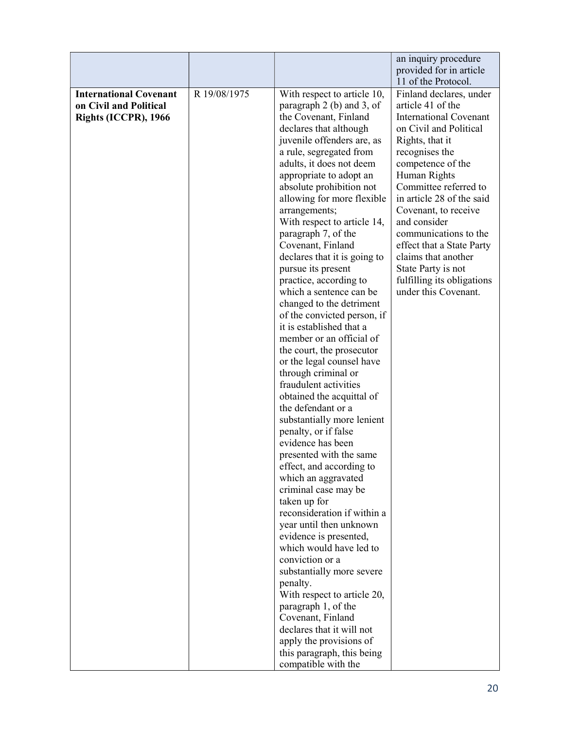|                                                                                 |              |                                                                                                                                                                                                                                                                                                                                                                                                                                                                                                                                                                                                                                                                                                                                                                                                                                                                                                                                                                                                                                                                                                                                                                                                                                                                                                  | an inquiry procedure<br>provided for in article<br>11 of the Protocol.                                                                                                                                                                                                                                                                                                                                                                   |
|---------------------------------------------------------------------------------|--------------|--------------------------------------------------------------------------------------------------------------------------------------------------------------------------------------------------------------------------------------------------------------------------------------------------------------------------------------------------------------------------------------------------------------------------------------------------------------------------------------------------------------------------------------------------------------------------------------------------------------------------------------------------------------------------------------------------------------------------------------------------------------------------------------------------------------------------------------------------------------------------------------------------------------------------------------------------------------------------------------------------------------------------------------------------------------------------------------------------------------------------------------------------------------------------------------------------------------------------------------------------------------------------------------------------|------------------------------------------------------------------------------------------------------------------------------------------------------------------------------------------------------------------------------------------------------------------------------------------------------------------------------------------------------------------------------------------------------------------------------------------|
| <b>International Covenant</b><br>on Civil and Political<br>Rights (ICCPR), 1966 | R 19/08/1975 | With respect to article 10,<br>paragraph $2$ (b) and $3$ , of<br>the Covenant, Finland<br>declares that although<br>juvenile offenders are, as<br>a rule, segregated from<br>adults, it does not deem<br>appropriate to adopt an<br>absolute prohibition not<br>allowing for more flexible<br>arrangements;<br>With respect to article 14,<br>paragraph 7, of the<br>Covenant, Finland<br>declares that it is going to<br>pursue its present<br>practice, according to<br>which a sentence can be<br>changed to the detriment<br>of the convicted person, if<br>it is established that a<br>member or an official of<br>the court, the prosecutor<br>or the legal counsel have<br>through criminal or<br>fraudulent activities<br>obtained the acquittal of<br>the defendant or a<br>substantially more lenient<br>penalty, or if false<br>evidence has been<br>presented with the same<br>effect, and according to<br>which an aggravated<br>criminal case may be<br>taken up for<br>reconsideration if within a<br>year until then unknown<br>evidence is presented,<br>which would have led to<br>conviction or a<br>substantially more severe<br>penalty.<br>With respect to article 20,<br>paragraph 1, of the<br>Covenant, Finland<br>declares that it will not<br>apply the provisions of | Finland declares, under<br>article 41 of the<br><b>International Covenant</b><br>on Civil and Political<br>Rights, that it<br>recognises the<br>competence of the<br>Human Rights<br>Committee referred to<br>in article 28 of the said<br>Covenant, to receive<br>and consider<br>communications to the<br>effect that a State Party<br>claims that another<br>State Party is not<br>fulfilling its obligations<br>under this Covenant. |
|                                                                                 |              | this paragraph, this being<br>compatible with the                                                                                                                                                                                                                                                                                                                                                                                                                                                                                                                                                                                                                                                                                                                                                                                                                                                                                                                                                                                                                                                                                                                                                                                                                                                |                                                                                                                                                                                                                                                                                                                                                                                                                                          |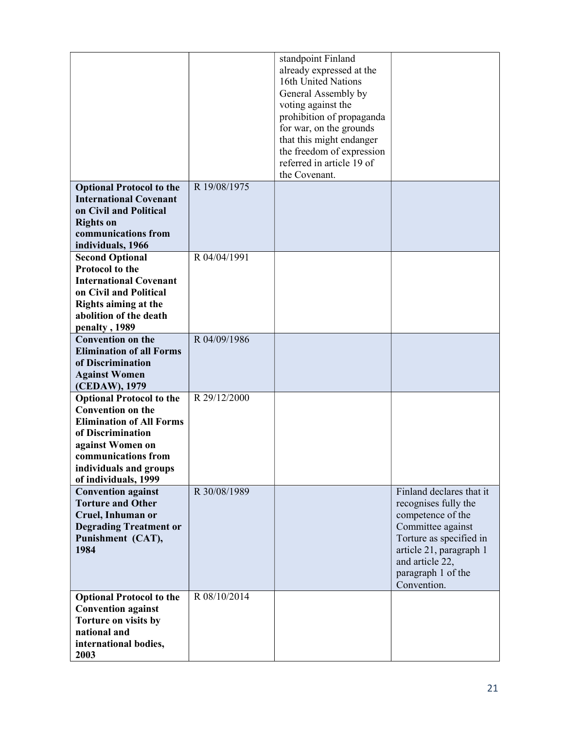|                                                                                                                                                                                                                  |              | standpoint Finland<br>already expressed at the<br>16th United Nations<br>General Assembly by<br>voting against the<br>prohibition of propaganda<br>for war, on the grounds<br>that this might endanger<br>the freedom of expression<br>referred in article 19 of<br>the Covenant. |                                                                                                                                                                                                          |
|------------------------------------------------------------------------------------------------------------------------------------------------------------------------------------------------------------------|--------------|-----------------------------------------------------------------------------------------------------------------------------------------------------------------------------------------------------------------------------------------------------------------------------------|----------------------------------------------------------------------------------------------------------------------------------------------------------------------------------------------------------|
| <b>Optional Protocol to the</b><br><b>International Covenant</b><br>on Civil and Political<br><b>Rights on</b><br>communications from<br>individuals, 1966                                                       | R 19/08/1975 |                                                                                                                                                                                                                                                                                   |                                                                                                                                                                                                          |
| <b>Second Optional</b><br><b>Protocol to the</b><br><b>International Covenant</b><br>on Civil and Political<br><b>Rights aiming at the</b><br>abolition of the death<br>penalty, 1989                            | R 04/04/1991 |                                                                                                                                                                                                                                                                                   |                                                                                                                                                                                                          |
| <b>Convention on the</b><br><b>Elimination of all Forms</b><br>of Discrimination<br><b>Against Women</b><br>(CEDAW), 1979                                                                                        | R 04/09/1986 |                                                                                                                                                                                                                                                                                   |                                                                                                                                                                                                          |
| <b>Optional Protocol to the</b><br><b>Convention on the</b><br><b>Elimination of All Forms</b><br>of Discrimination<br>against Women on<br>communications from<br>individuals and groups<br>of individuals, 1999 | R 29/12/2000 |                                                                                                                                                                                                                                                                                   |                                                                                                                                                                                                          |
| <b>Convention against</b><br><b>Torture and Other</b><br>Cruel, Inhuman or<br><b>Degrading Treatment or</b><br>Punishment (CAT),<br>1984                                                                         | R 30/08/1989 |                                                                                                                                                                                                                                                                                   | Finland declares that it<br>recognises fully the<br>competence of the<br>Committee against<br>Torture as specified in<br>article 21, paragraph 1<br>and article 22,<br>paragraph 1 of the<br>Convention. |
| <b>Optional Protocol to the</b><br><b>Convention against</b><br>Torture on visits by<br>national and<br>international bodies,<br>2003                                                                            | R 08/10/2014 |                                                                                                                                                                                                                                                                                   |                                                                                                                                                                                                          |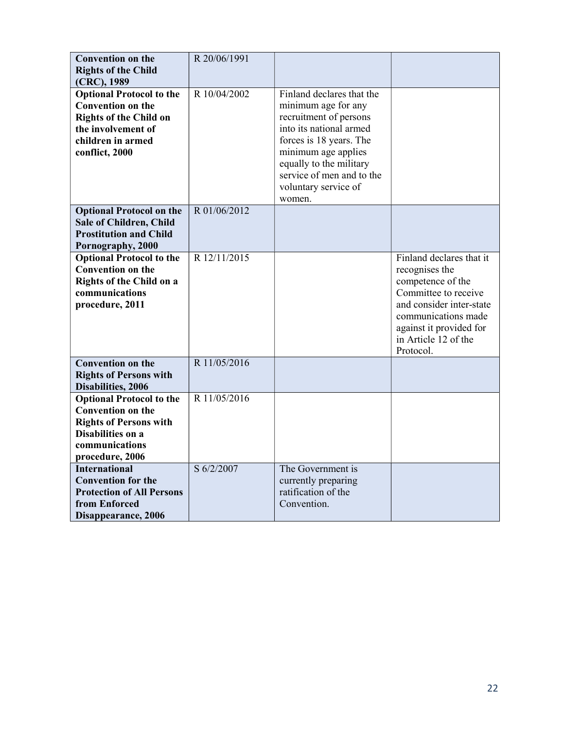| <b>Convention on the</b><br><b>Rights of the Child</b>                                                                                                    | R 20/06/1991 |                                                                                                                                                                                                                                                   |                                                                                                                                                                                                            |
|-----------------------------------------------------------------------------------------------------------------------------------------------------------|--------------|---------------------------------------------------------------------------------------------------------------------------------------------------------------------------------------------------------------------------------------------------|------------------------------------------------------------------------------------------------------------------------------------------------------------------------------------------------------------|
| (CRC), 1989                                                                                                                                               |              |                                                                                                                                                                                                                                                   |                                                                                                                                                                                                            |
| <b>Optional Protocol to the</b><br><b>Convention on the</b><br><b>Rights of the Child on</b><br>the involvement of<br>children in armed<br>conflict, 2000 | R 10/04/2002 | Finland declares that the<br>minimum age for any<br>recruitment of persons<br>into its national armed<br>forces is 18 years. The<br>minimum age applies<br>equally to the military<br>service of men and to the<br>voluntary service of<br>women. |                                                                                                                                                                                                            |
| <b>Optional Protocol on the</b><br><b>Sale of Children, Child</b><br><b>Prostitution and Child</b><br>Pornography, 2000                                   | R 01/06/2012 |                                                                                                                                                                                                                                                   |                                                                                                                                                                                                            |
| <b>Optional Protocol to the</b><br><b>Convention on the</b><br><b>Rights of the Child on a</b><br>communications<br>procedure, 2011                       | R 12/11/2015 |                                                                                                                                                                                                                                                   | Finland declares that it<br>recognises the<br>competence of the<br>Committee to receive<br>and consider inter-state<br>communications made<br>against it provided for<br>in Article 12 of the<br>Protocol. |
| <b>Convention on the</b><br><b>Rights of Persons with</b><br>Disabilities, 2006                                                                           | R 11/05/2016 |                                                                                                                                                                                                                                                   |                                                                                                                                                                                                            |
| <b>Optional Protocol to the</b><br><b>Convention on the</b><br><b>Rights of Persons with</b><br>Disabilities on a<br>communications<br>procedure, 2006    | R 11/05/2016 |                                                                                                                                                                                                                                                   |                                                                                                                                                                                                            |
| <b>International</b><br><b>Convention for the</b><br><b>Protection of All Persons</b><br>from Enforced<br>Disappearance, 2006                             | S 6/2/2007   | The Government is<br>currently preparing<br>ratification of the<br>Convention.                                                                                                                                                                    |                                                                                                                                                                                                            |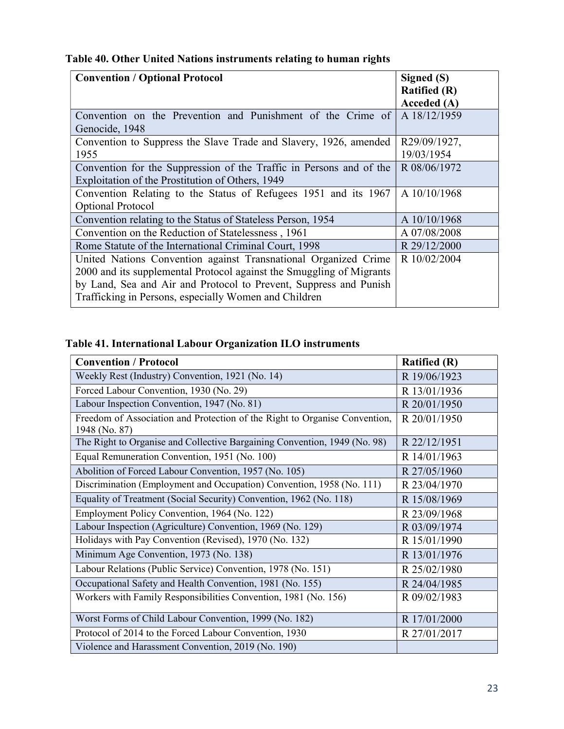|  |  | Table 40. Other United Nations instruments relating to human rights |  |  |
|--|--|---------------------------------------------------------------------|--|--|
|  |  |                                                                     |  |  |

| <b>Convention / Optional Protocol</b>                                | Signed (S)<br><b>Ratified (R)</b> |
|----------------------------------------------------------------------|-----------------------------------|
|                                                                      | Acceded (A)                       |
| Convention on the Prevention and Punishment of the Crime of          | A 18/12/1959                      |
| Genocide, 1948                                                       |                                   |
| Convention to Suppress the Slave Trade and Slavery, 1926, amended    | R29/09/1927,                      |
| 1955                                                                 | 19/03/1954                        |
| Convention for the Suppression of the Traffic in Persons and of the  | R 08/06/1972                      |
| Exploitation of the Prostitution of Others, 1949                     |                                   |
| Convention Relating to the Status of Refugees 1951 and its 1967      | A 10/10/1968                      |
| Optional Protocol                                                    |                                   |
| Convention relating to the Status of Stateless Person, 1954          | A 10/10/1968                      |
| Convention on the Reduction of Statelessness, 1961                   | A 07/08/2008                      |
| Rome Statute of the International Criminal Court, 1998               | R 29/12/2000                      |
| United Nations Convention against Transnational Organized Crime      | R 10/02/2004                      |
| 2000 and its supplemental Protocol against the Smuggling of Migrants |                                   |
| by Land, Sea and Air and Protocol to Prevent, Suppress and Punish    |                                   |
| Trafficking in Persons, especially Women and Children                |                                   |

## Table 41. International Labour Organization ILO instruments

| <b>Convention / Protocol</b>                                                                | <b>Ratified</b> (R) |
|---------------------------------------------------------------------------------------------|---------------------|
| Weekly Rest (Industry) Convention, 1921 (No. 14)                                            | R 19/06/1923        |
| Forced Labour Convention, 1930 (No. 29)                                                     | R 13/01/1936        |
| Labour Inspection Convention, 1947 (No. 81)                                                 | R 20/01/1950        |
| Freedom of Association and Protection of the Right to Organise Convention,<br>1948 (No. 87) | R 20/01/1950        |
| The Right to Organise and Collective Bargaining Convention, 1949 (No. 98)                   | R 22/12/1951        |
| Equal Remuneration Convention, 1951 (No. 100)                                               | R 14/01/1963        |
| Abolition of Forced Labour Convention, 1957 (No. 105)                                       | R 27/05/1960        |
| Discrimination (Employment and Occupation) Convention, 1958 (No. 111)                       | R 23/04/1970        |
| Equality of Treatment (Social Security) Convention, 1962 (No. 118)                          | R 15/08/1969        |
| Employment Policy Convention, 1964 (No. 122)                                                | R 23/09/1968        |
| Labour Inspection (Agriculture) Convention, 1969 (No. 129)                                  | R 03/09/1974        |
| Holidays with Pay Convention (Revised), 1970 (No. 132)                                      | R 15/01/1990        |
| Minimum Age Convention, 1973 (No. 138)                                                      | R 13/01/1976        |
| Labour Relations (Public Service) Convention, 1978 (No. 151)                                | R 25/02/1980        |
| Occupational Safety and Health Convention, 1981 (No. 155)                                   | R 24/04/1985        |
| Workers with Family Responsibilities Convention, 1981 (No. 156)                             | R 09/02/1983        |
| Worst Forms of Child Labour Convention, 1999 (No. 182)                                      | R 17/01/2000        |
| Protocol of 2014 to the Forced Labour Convention, 1930                                      | R 27/01/2017        |
| Violence and Harassment Convention, 2019 (No. 190)                                          |                     |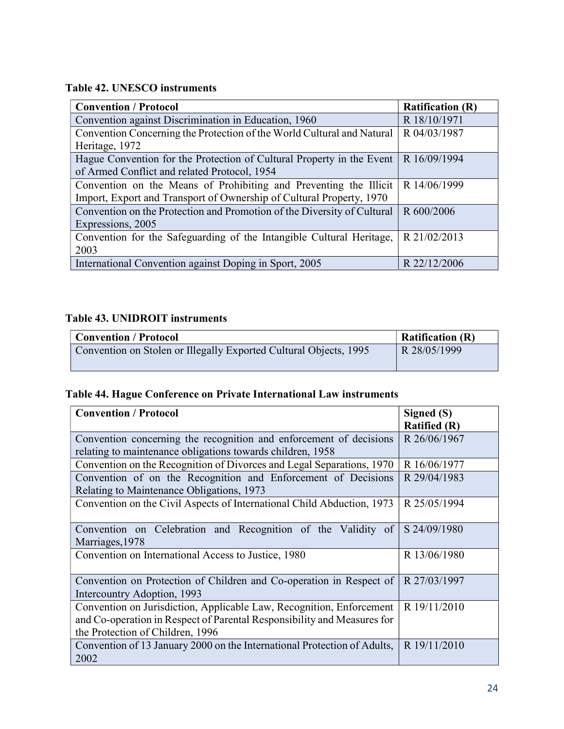## Table 42. UNESCO instruments

| <b>Convention / Protocol</b>                                            | <b>Ratification (R)</b> |
|-------------------------------------------------------------------------|-------------------------|
| Convention against Discrimination in Education, 1960                    | R 18/10/1971            |
| Convention Concerning the Protection of the World Cultural and Natural  | R 04/03/1987            |
| Heritage, 1972                                                          |                         |
| Hague Convention for the Protection of Cultural Property in the Event   | R 16/09/1994            |
| of Armed Conflict and related Protocol, 1954                            |                         |
| Convention on the Means of Prohibiting and Preventing the Illicit       | R 14/06/1999            |
| Import, Export and Transport of Ownership of Cultural Property, 1970    |                         |
| Convention on the Protection and Promotion of the Diversity of Cultural | R 600/2006              |
| Expressions, 2005                                                       |                         |
| Convention for the Safeguarding of the Intangible Cultural Heritage,    | R 21/02/2013            |
| 2003                                                                    |                         |
| International Convention against Doping in Sport, 2005                  | R 22/12/2006            |

## Table 43. UNIDROIT instruments

| <b>Convention / Protocol</b>                                      | <b>Ratification (R)</b> |
|-------------------------------------------------------------------|-------------------------|
| Convention on Stolen or Illegally Exported Cultural Objects, 1995 | R 28/05/1999            |

## Table 44. Hague Conference on Private International Law instruments

| <b>Convention / Protocol</b>                                                                                                                                                        | Signed (S)<br><b>Ratified (R)</b> |
|-------------------------------------------------------------------------------------------------------------------------------------------------------------------------------------|-----------------------------------|
| Convention concerning the recognition and enforcement of decisions<br>relating to maintenance obligations towards children, 1958                                                    | R 26/06/1967                      |
| Convention on the Recognition of Divorces and Legal Separations, 1970                                                                                                               | R 16/06/1977                      |
| Convention of on the Recognition and Enforcement of Decisions<br>Relating to Maintenance Obligations, 1973                                                                          | R 29/04/1983                      |
| Convention on the Civil Aspects of International Child Abduction, 1973                                                                                                              | R 25/05/1994                      |
| Convention on Celebration and Recognition of the Validity of<br>Marriages, 1978                                                                                                     | S 24/09/1980                      |
| Convention on International Access to Justice, 1980                                                                                                                                 | R 13/06/1980                      |
| Convention on Protection of Children and Co-operation in Respect of<br>Intercountry Adoption, 1993                                                                                  | R 27/03/1997                      |
| Convention on Jurisdiction, Applicable Law, Recognition, Enforcement<br>and Co-operation in Respect of Parental Responsibility and Measures for<br>the Protection of Children, 1996 | R 19/11/2010                      |
| Convention of 13 January 2000 on the International Protection of Adults,<br>2002                                                                                                    | R 19/11/2010                      |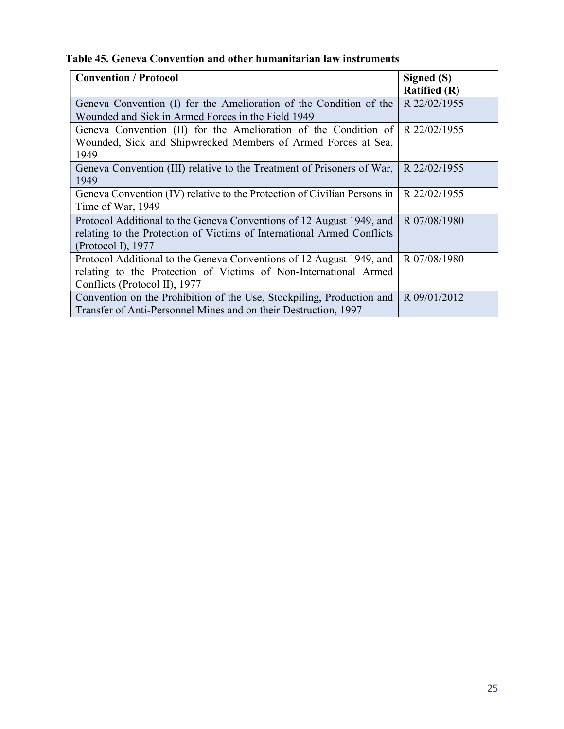|  |  | Table 45. Geneva Convention and other humanitarian law instruments |  |  |  |
|--|--|--------------------------------------------------------------------|--|--|--|
|--|--|--------------------------------------------------------------------|--|--|--|

| <b>Convention / Protocol</b>                                             | Signed (S)          |
|--------------------------------------------------------------------------|---------------------|
|                                                                          | <b>Ratified (R)</b> |
| Geneva Convention (I) for the Amelioration of the Condition of the       | R 22/02/1955        |
| Wounded and Sick in Armed Forces in the Field 1949                       |                     |
| Geneva Convention (II) for the Amelioration of the Condition of          | R 22/02/1955        |
| Wounded, Sick and Shipwrecked Members of Armed Forces at Sea,            |                     |
| 1949                                                                     |                     |
| Geneva Convention (III) relative to the Treatment of Prisoners of War,   | R 22/02/1955        |
| 1949                                                                     |                     |
| Geneva Convention (IV) relative to the Protection of Civilian Persons in | R 22/02/1955        |
| Time of War, 1949                                                        |                     |
| Protocol Additional to the Geneva Conventions of 12 August 1949, and     | R 07/08/1980        |
| relating to the Protection of Victims of International Armed Conflicts   |                     |
| (Protocol I), $1977$                                                     |                     |
| Protocol Additional to the Geneva Conventions of 12 August 1949, and     | R 07/08/1980        |
| relating to the Protection of Victims of Non-International Armed         |                     |
| Conflicts (Protocol II), 1977                                            |                     |
| Convention on the Prohibition of the Use, Stockpiling, Production and    | R 09/01/2012        |
| Transfer of Anti-Personnel Mines and on their Destruction, 1997          |                     |